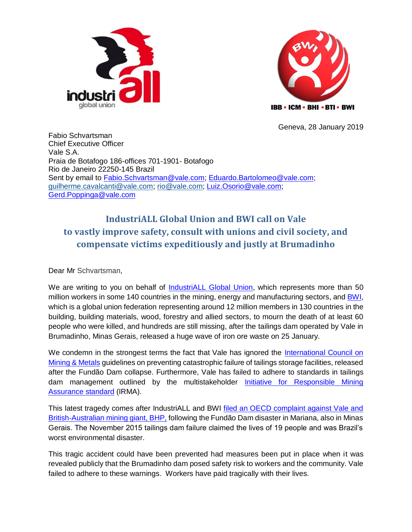



Geneva, 28 January 2019

Fabio Schvartsman Chief Executive Officer Vale S.A. Praia de Botafogo 186-offices 701-1901- Botafogo Rio de Janeiro 22250-145 Brazil Sent by email to [Fabio.Schvartsman@vale.com;](mailto:Fabio.Schvartsman@vale.com) [Eduardo.Bartolomeo@vale.com;](mailto:Eduardo.Bartolomeo@vale.com) [guilherme.cavalcanti@vale.com;](mailto:guilherme.cavalcanti@vale.com) [rio@vale.com;](mailto:rio@vale.com) [Luiz.Osorio@vale.com;](mailto:Luiz.Osorio@vale.com) [Gerd.Poppinga@vale.com](mailto:Gerd.Poppinga@vale.com)

## **IndustriALL Global Union and BWI call on Vale to vastly improve safety, consult with unions and civil society, and compensate victims expeditiously and justly at Brumadinho**

Dear Mr Schvartsman,

We are writing to you on behalf of **IndustriALL Global Union**, which represents more than 50 million workers in some 140 countries in the mining, energy and manufacturing sectors, and [BWI,](https://www.bwint.org/) which is a global union federation representing around 12 million members in 130 countries in the building, building materials, wood, forestry and allied sectors, to mourn the death of at least 60 people who were killed, and hundreds are still missing, after the tailings dam operated by Vale in Brumadinho, Minas Gerais, released a huge wave of iron ore waste on 25 January.

We condemn in the strongest terms the fact that Vale has ignored the International Council on [Mining & Metals](https://www.icmm.com/website/publications/pdfs/commitments/2016_icmm-ps_tailings-governance.pdf) guidelines on preventing catastrophic failure of tailings storage facilities, released after the Fundão Dam collapse. Furthermore, Vale has failed to adhere to standards in tailings dam management outlined by the multistakeholder [Initiative for Responsible Mining](https://responsiblemining.net/what-we-do/standard/)  [Assurance](https://responsiblemining.net/what-we-do/standard/) standard (IRMA).

This latest tragedy comes after IndustriALL and BWI [filed an OECD complaint against Vale and](http://www.industriall-union.org/industriall-and-bwi-file-complaint-against-bhp-billiton-and-vale-sa)  [British-Australian mining giant, BHP,](http://www.industriall-union.org/industriall-and-bwi-file-complaint-against-bhp-billiton-and-vale-sa) following the Fundão Dam disaster in Mariana, also in Minas Gerais. The November 2015 tailings dam failure claimed the lives of 19 people and was Brazil's worst environmental disaster.

This tragic accident could have been prevented had measures been put in place when it was revealed publicly that the Brumadinho dam posed safety risk to workers and the community. Vale failed to adhere to these warnings. Workers have paid tragically with their lives.